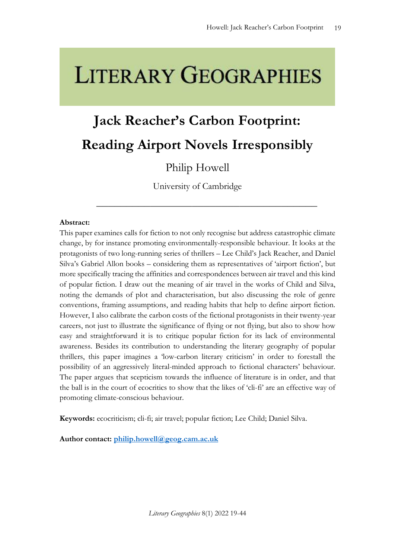# **LITERARY GEOGRAPHIES**

## **Jack Reacher's Carbon Footprint: Reading Airport Novels Irresponsibly**

### Philip Howell

University of Cambridge

\_\_\_\_\_\_\_\_\_\_\_\_\_\_\_\_\_\_\_\_\_\_\_\_\_\_\_\_\_\_\_\_\_\_\_\_\_

#### **Abstract:**

This paper examines calls for fiction to not only recognise but address catastrophic climate change, by for instance promoting environmentally-responsible behaviour. It looks at the protagonists of two long-running series of thrillers – Lee Child's Jack Reacher, and Daniel Silva's Gabriel Allon books – considering them as representatives of 'airport fiction', but more specifically tracing the affinities and correspondences between air travel and this kind of popular fiction. I draw out the meaning of air travel in the works of Child and Silva, noting the demands of plot and characterisation, but also discussing the role of genre conventions, framing assumptions, and reading habits that help to define airport fiction. However, I also calibrate the carbon costs of the fictional protagonists in their twenty-year careers, not just to illustrate the significance of flying or not flying, but also to show how easy and straightforward it is to critique popular fiction for its lack of environmental awareness. Besides its contribution to understanding the literary geography of popular thrillers, this paper imagines a 'low-carbon literary criticism' in order to forestall the possibility of an aggressively literal-minded approach to fictional characters' behaviour. The paper argues that scepticism towards the influence of literature is in order, and that the ball is in the court of ecocritics to show that the likes of 'cli-fi' are an effective way of promoting climate-conscious behaviour.

**Keywords:** ecocriticism; cli-fi; air travel; popular fiction; Lee Child; Daniel Silva.

**Author contact: [philip.howell@geog.cam.ac.uk](mailto:emma.eldelin@liu.se)**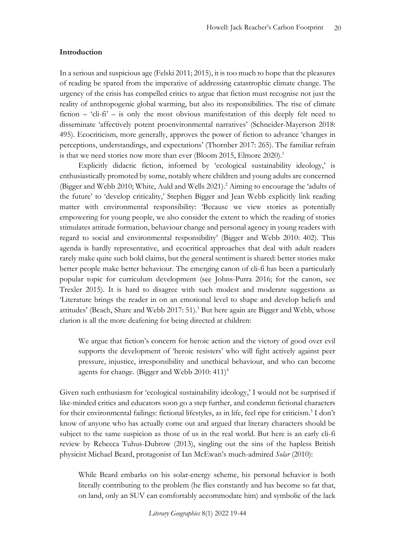#### **Introduction**

In a serious and suspicious age (Felski 2011; 2015), it is too much to hope that the pleasures of reading be spared from the imperative of addressing catastrophic climate change. The urgency of the crisis has compelled critics to argue that fiction must recognise not just the reality of anthropogenic global warming, but also its responsibilities. The rise of climate fiction – 'cli-fi' – is only the most obvious manifestation of this deeply felt need to disseminate 'affectively potent proenvironmental narratives' (Schneider-Mayerson 2018: 495). Ecocriticism, more generally, approves the power of fiction to advance 'changes in perceptions, understandings, and expectations' (Thornber 2017: 265). The familiar refrain is that we need stories now more than ever (Bloom 2015, Elmore 2020).<sup>1</sup>

Explicitly didactic fiction, informed by 'ecological sustainability ideology,' is enthusiastically promoted by some, notably where children and young adults are concerned (Bigger and Webb 2010; White, Auld and Wells 2021).<sup>2</sup> Aiming to encourage the 'adults of the future' to 'develop criticality,' Stephen Bigger and Jean Webb explicitly link reading matter with environmental responsibility: 'Because we view stories as potentially empowering for young people, we also consider the extent to which the reading of stories stimulates attitude formation, behaviour change and personal agency in young readers with regard to social and environmental responsibility' (Bigger and Webb 2010: 402). This agenda is hardly representative, and ecocritical approaches that deal with adult readers rarely make quite such bold claims, but the general sentiment is shared: better stories make better people make better behaviour. The emerging canon of cli-fi has been a particularly popular topic for curriculum development (see Johns-Putra 2016; for the canon, see Trexler 2015). It is hard to disagree with such modest and moderate suggestions as 'Literature brings the reader in on an emotional level to shape and develop beliefs and attitudes' (Beach, Share and Webb 2017: 51).<sup>3</sup> But here again are Bigger and Webb, whose clarion is all the more deafening for being directed at children:

We argue that fiction's concern for heroic action and the victory of good over evil supports the development of 'heroic resisters' who will fight actively against peer pressure, injustice, irresponsibility and unethical behaviour, and who can become agents for change. (Bigger and Webb 2010:  $411$ )<sup>4</sup>

Given such enthusiasm for 'ecological sustainability ideology,' I would not be surprised if like-minded critics and educators soon go a step further, and condemn fictional characters for their environmental failings: fictional lifestyles, as in life, feel ripe for criticism.<sup>5</sup> I don't know of anyone who has actually come out and argued that literary characters should be subject to the same suspicion as those of us in the real world. But here is an early cli-fi review by Rebecca Tuhus-Dubrow (2013), singling out the sins of the hapless British physicist Michael Beard, protagonist of Ian McEwan's much-admired *Solar* (2010):

While Beard embarks on his solar-energy scheme, his personal behavior is both literally contributing to the problem (he flies constantly and has become so fat that, on land, only an SUV can comfortably accommodate him) and symbolic of the lack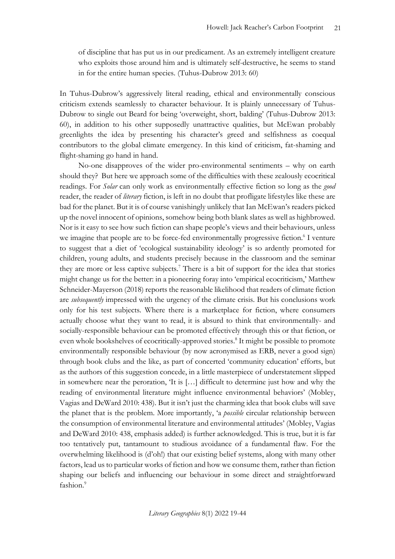of discipline that has put us in our predicament. As an extremely intelligent creature who exploits those around him and is ultimately self-destructive, he seems to stand in for the entire human species. (Tuhus-Dubrow 2013: 60)

In Tuhus-Dubrow's aggressively literal reading, ethical and environmentally conscious criticism extends seamlessly to character behaviour. It is plainly unnecessary of Tuhus-Dubrow to single out Beard for being 'overweight, short, balding' (Tuhus-Dubrow 2013: 60), in addition to his other supposedly unattractive qualities, but McEwan probably greenlights the idea by presenting his character's greed and selfishness as coequal contributors to the global climate emergency. In this kind of criticism, fat-shaming and flight-shaming go hand in hand.

No-one disapproves of the wider pro-environmental sentiments – why on earth should they? But here we approach some of the difficulties with these zealously ecocritical readings. For *Solar* can only work as environmentally effective fiction so long as the *good* reader, the reader of *literary* fiction, is left in no doubt that profligate lifestyles like these are bad for the planet. But it is of course vanishingly unlikely that Ian McEwan's readers picked up the novel innocent of opinions, somehow being both blank slates as well as highbrowed. Nor is it easy to see how such fiction can shape people's views and their behaviours, unless we imagine that people are to be force-fed environmentally progressive fiction.<sup>6</sup> I venture to suggest that a diet of 'ecological sustainability ideology' is so ardently promoted for children, young adults, and students precisely because in the classroom and the seminar they are more or less captive subjects.<sup>7</sup> There is a bit of support for the idea that stories might change us for the better: in a pioneering foray into 'empirical ecocriticism,' Matthew Schneider-Mayerson (2018) reports the reasonable likelihood that readers of climate fiction are *subsequently* impressed with the urgency of the climate crisis. But his conclusions work only for his test subjects. Where there is a marketplace for fiction, where consumers actually choose what they want to read, it is absurd to think that environmentally- and socially-responsible behaviour can be promoted effectively through this or that fiction, or even whole bookshelves of ecocritically-approved stories.<sup>8</sup> It might be possible to promote environmentally responsible behaviour (by now acronymised as ERB, never a good sign) through book clubs and the like, as part of concerted 'community education' efforts, but as the authors of this suggestion concede, in a little masterpiece of understatement slipped in somewhere near the peroration, 'It is […] difficult to determine just how and why the reading of environmental literature might influence environmental behaviors' (Mobley, Vagias and DeWard 2010: 438). But it isn't just the charming idea that book clubs will save the planet that is the problem. More importantly, 'a *possible* circular relationship between the consumption of environmental literature and environmental attitudes' (Mobley, Vagias and DeWard 2010: 438, emphasis added) is further acknowledged. This is true, but it is far too tentatively put, tantamount to studious avoidance of a fundamental flaw. For the overwhelming likelihood is (d'oh!) that our existing belief systems, along with many other factors, lead us to particular works of fiction and how we consume them, rather than fiction shaping our beliefs and influencing our behaviour in some direct and straightforward fashion.<sup>9</sup>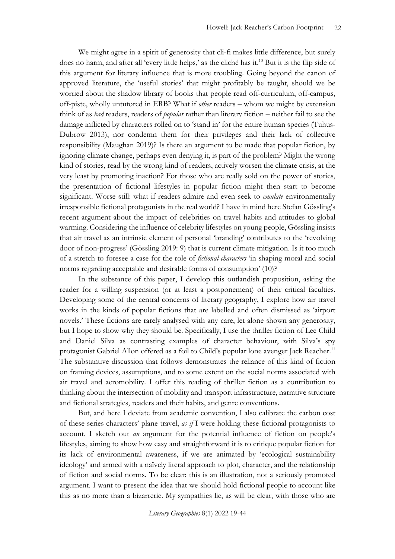We might agree in a spirit of generosity that cli-fi makes little difference, but surely does no harm, and after all 'every little helps,' as the cliché has it.<sup>10</sup> But it is the flip side of this argument for literary influence that is more troubling. Going beyond the canon of approved literature, the 'useful stories' that might profitably be taught, should we be worried about the shadow library of books that people read off-curriculum, off-campus, off-piste, wholly untutored in ERB? What if *other* readers – whom we might by extension think of as *bad* readers, readers of *popular* rather than literary fiction – neither fail to see the damage inflicted by characters rolled on to 'stand in' for the entire human species (Tuhus-Dubrow 2013), nor condemn them for their privileges and their lack of collective responsibility (Maughan 2019)? Is there an argument to be made that popular fiction, by ignoring climate change, perhaps even denying it, is part of the problem? Might the wrong kind of stories, read by the wrong kind of readers, actively worsen the climate crisis, at the very least by promoting inaction? For those who are really sold on the power of stories, the presentation of fictional lifestyles in popular fiction might then start to become significant. Worse still: what if readers admire and even seek to *emulate* environmentally irresponsible fictional protagonists in the real world? I have in mind here Stefan Gössling's recent argument about the impact of celebrities on travel habits and attitudes to global warming. Considering the influence of celebrity lifestyles on young people, Gössling insists that air travel as an intrinsic element of personal 'branding' contributes to the 'revolving door of non-progress' (Gössling 2019: 9) that is current climate mitigation. Is it too much of a stretch to foresee a case for the role of *fictional characters* 'in shaping moral and social norms regarding acceptable and desirable forms of consumption' (10)?

In the substance of this paper, I develop this outlandish proposition, asking the reader for a willing suspension (or at least a postponement) of their critical faculties. Developing some of the central concerns of literary geography, I explore how air travel works in the kinds of popular fictions that are labelled and often dismissed as 'airport novels.' These fictions are rarely analysed with any care, let alone shown any generosity, but I hope to show why they should be. Specifically, I use the thriller fiction of Lee Child and Daniel Silva as contrasting examples of character behaviour, with Silva's spy protagonist Gabriel Allon offered as a foil to Child's popular lone avenger Jack Reacher.<sup>11</sup> The substantive discussion that follows demonstrates the reliance of this kind of fiction on framing devices, assumptions, and to some extent on the social norms associated with air travel and aeromobility. I offer this reading of thriller fiction as a contribution to thinking about the intersection of mobility and transport infrastructure, narrative structure and fictional strategies, readers and their habits, and genre conventions.

But, and here I deviate from academic convention, I also calibrate the carbon cost of these series characters' plane travel, *as if* I were holding these fictional protagonists to account. I sketch out *an* argument for the potential influence of fiction on people's lifestyles, aiming to show how easy and straightforward it is to critique popular fiction for its lack of environmental awareness, if we are animated by 'ecological sustainability ideology' and armed with a naïvely literal approach to plot, character, and the relationship of fiction and social norms. To be clear: this is an illustration, not a seriously promoted argument. I want to present the idea that we should hold fictional people to account like this as no more than a bizarrerie. My sympathies lie, as will be clear, with those who are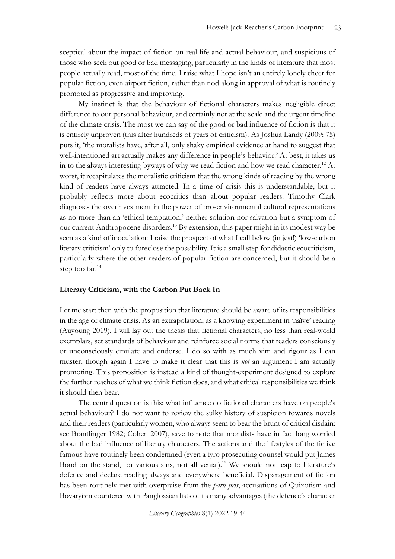sceptical about the impact of fiction on real life and actual behaviour, and suspicious of those who seek out good or bad messaging, particularly in the kinds of literature that most people actually read, most of the time. I raise what I hope isn't an entirely lonely cheer for popular fiction, even airport fiction, rather than nod along in approval of what is routinely promoted as progressive and improving.

My instinct is that the behaviour of fictional characters makes negligible direct difference to our personal behaviour, and certainly not at the scale and the urgent timeline of the climate crisis. The most we can say of the good or bad influence of fiction is that it is entirely unproven (this after hundreds of years of criticism). As Joshua Landy (2009: 75) puts it, 'the moralists have, after all, only shaky empirical evidence at hand to suggest that well-intentioned art actually makes any difference in people's behavior.' At best, it takes us in to the always interesting byways of why we read fiction and how we read character.<sup>12</sup> At worst, it recapitulates the moralistic criticism that the wrong kinds of reading by the wrong kind of readers have always attracted. In a time of crisis this is understandable, but it probably reflects more about ecocritics than about popular readers. Timothy Clark diagnoses the overinvestment in the power of pro-environmental cultural representations as no more than an 'ethical temptation,' neither solution nor salvation but a symptom of our current Anthropocene disorders.<sup>13</sup> By extension, this paper might in its modest way be seen as a kind of inoculation: I raise the prospect of what I call below (in jest!) 'low-carbon literary criticism' only to foreclose the possibility. It is a small step for didactic ecocriticism, particularly where the other readers of popular fiction are concerned, but it should be a step too far.<sup>14</sup>

#### **Literary Criticism, with the Carbon Put Back In**

Let me start then with the proposition that literature should be aware of its responsibilities in the age of climate crisis. As an extrapolation, as a knowing experiment in 'naïve' reading (Auyoung 2019), I will lay out the thesis that fictional characters, no less than real-world exemplars, set standards of behaviour and reinforce social norms that readers consciously or unconsciously emulate and endorse. I do so with as much vim and rigour as I can muster, though again I have to make it clear that this is *not* an argument I am actually promoting. This proposition is instead a kind of thought-experiment designed to explore the further reaches of what we think fiction does, and what ethical responsibilities we think it should then bear.

The central question is this: what influence do fictional characters have on people's actual behaviour? I do not want to review the sulky history of suspicion towards novels and their readers (particularly women, who always seem to bear the brunt of critical disdain: see Brantlinger 1982; Cohen 2007), save to note that moralists have in fact long worried about the bad influence of literary characters. The actions and the lifestyles of the fictive famous have routinely been condemned (even a tyro prosecuting counsel would put James Bond on the stand, for various sins, not all venial).<sup>15</sup> We should not leap to literature's defence and declare reading always and everywhere beneficial. Disparagement of fiction has been routinely met with overpraise from the *parti pris*, accusations of Quixotism and Bovaryism countered with Panglossian lists of its many advantages (the defence's character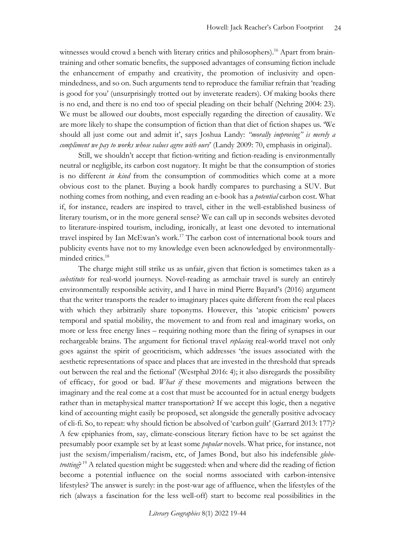witnesses would crowd a bench with literary critics and philosophers).<sup>16</sup> Apart from braintraining and other somatic benefits, the supposed advantages of consuming fiction include the enhancement of empathy and creativity, the promotion of inclusivity and openmindedness, and so on. Such arguments tend to reproduce the familiar refrain that 'reading is good for you' (unsurprisingly trotted out by inveterate readers). Of making books there is no end, and there is no end too of special pleading on their behalf (Nehring 2004: 23). We must be allowed our doubts, most especially regarding the direction of causality. We are more likely to shape the consumption of fiction than that diet of fiction shapes us. 'We should all just come out and admit it', says Joshua Landy: *"morally improving" is merely a compliment we pay to works whose values agree with ours*' (Landy 2009: 70, emphasis in original).

Still, we shouldn't accept that fiction-writing and fiction-reading is environmentally neutral or negligible, its carbon cost nugatory. It might be that the consumption of stories is no different *in kind* from the consumption of commodities which come at a more obvious cost to the planet. Buying a book hardly compares to purchasing a SUV. But nothing comes from nothing, and even reading an e-book has a *potential* carbon cost. What if, for instance, readers are inspired to travel, either in the well-established business of literary tourism, or in the more general sense? We can call up in seconds websites devoted to literature-inspired tourism, including, ironically, at least one devoted to international travel inspired by Ian McEwan's work.<sup>17</sup> The carbon cost of international book tours and publicity events have not to my knowledge even been acknowledged by environmentallyminded critics.<sup>18</sup>

The charge might still strike us as unfair, given that fiction is sometimes taken as a *substitute* for real-world journeys. Novel-reading as armchair travel is surely an entirely environmentally responsible activity, and I have in mind Pierre Bayard's (2016) argument that the writer transports the reader to imaginary places quite different from the real places with which they arbitrarily share toponyms. However, this 'atopic criticism' powers temporal and spatial mobility, the movement to and from real and imaginary works, on more or less free energy lines – requiring nothing more than the firing of synapses in our rechargeable brains. The argument for fictional travel *replacing* real-world travel not only goes against the spirit of geocriticism, which addresses 'the issues associated with the aesthetic representations of space and places that are invested in the threshold that spreads out between the real and the fictional' (Westphal 2016: 4); it also disregards the possibility of efficacy, for good or bad. *What if* these movements and migrations between the imaginary and the real come at a cost that must be accounted for in actual energy budgets rather than in metaphysical matter transportation? If we accept this logic, then a negative kind of accounting might easily be proposed, set alongside the generally positive advocacy of cli-fi. So, to repeat: why should fiction be absolved of 'carbon guilt' (Garrard 2013: 177)? A few epiphanies from, say, climate-conscious literary fiction have to be set against the presumably poor example set by at least some *popular* novels. What price, for instance, not just the sexism/imperialism/racism, etc, of James Bond, but also his indefensible *globetrotting*? <sup>19</sup> A related question might be suggested: when and where did the reading of fiction become a potential influence on the social norms associated with carbon-intensive lifestyles? The answer is surely: in the post-war age of affluence, when the lifestyles of the rich (always a fascination for the less well-off) start to become real possibilities in the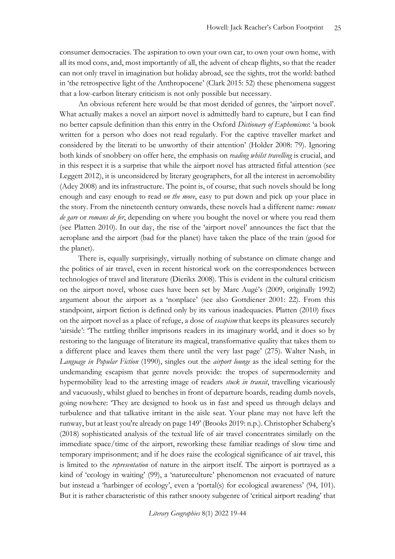consumer democracies. The aspiration to own your own car, to own your own home, with all its mod cons, and, most importantly of all, the advent of cheap flights, so that the reader can not only travel in imagination but holiday abroad, see the sights, trot the world: bathed in 'the retrospective light of the Anthropocene' (Clark 2015: 52) these phenomena suggest that a low-carbon literary criticism is not only possible but necessary.

An obvious referent here would be that most derided of genres, the 'airport novel'. What actually makes a novel an airport novel is admittedly hard to capture, but I can find no better capsule definition than this entry in the Oxford *Dictionary of Euphemisms*: 'a book written for a person who does not read regularly. For the captive traveller market and considered by the literati to be unworthy of their attention' (Holder 2008: 79). Ignoring both kinds of snobbery on offer here, the emphasis on *reading whilst travelling* is crucial, and in this respect it is a surprise that while the airport novel has attracted fitful attention (see Leggett 2012), it is unconsidered by literary geographers, for all the interest in aeromobility (Adey 2008) and its infrastructure. The point is, of course, that such novels should be long enough and easy enough to read *on the move*, easy to put down and pick up your place in the story. From the nineteenth century onwards, these novels had a different name: *romans de gare* or *romans de fer*, depending on where you bought the novel or where you read them (see Platten 2010). In our day, the rise of the 'airport novel' announces the fact that the aeroplane and the airport (bad for the planet) have taken the place of the train (good for the planet).

There is, equally surprisingly, virtually nothing of substance on climate change and the politics of air travel, even in recent historical work on the correspondences between technologies of travel and literature (Dierikx 2008). This is evident in the cultural criticism on the airport novel, whose cues have been set by Marc Augé's (2009, originally 1992) argument about the airport as a 'nonplace' (see also Gottdiener 2001: 22). From this standpoint, airport fiction is defined only by its various inadequacies. Platten (2010) fixes on the airport novel as a place of refuge, a dose of *escapism* that keeps its pleasures securely 'airside': 'The rattling thriller imprisons readers in its imaginary world, and it does so by restoring to the language of literature its magical, transformative quality that takes them to a different place and leaves them there until the very last page' (275). Walter Nash, in *Language in Popular Fiction* (1990), singles out the *airport lounge* as the ideal setting for the undemanding escapism that genre novels provide: the tropes of supermodernity and hypermobility lead to the arresting image of readers *stuck in transit*, travelling vicariously and vacuously, whilst glued to benches in front of departure boards, reading dumb novels, going nowhere: 'They are designed to hook us in fast and speed us through delays and turbulence and that talkative irritant in the aisle seat. Your plane may not have left the runway, but at least you're already on page 149' (Brooks 2019: n.p.). Christopher Schaberg's (2018) sophisticated analysis of the textual life of air travel concentrates similarly on the immediate space/time of the airport, reworking these familiar readings of slow time and temporary imprisonment; and if he does raise the ecological significance of air travel, this is limited to the *representation* of nature in the airport itself. The airport is portrayed as a kind of 'ecology in waiting' (99), a 'natureculture' phenomenon not evacuated of nature but instead a 'harbinger of ecology', even a 'portal(s) for ecological awareness' (94, 101). But it is rather characteristic of this rather snooty subgenre of 'critical airport reading' that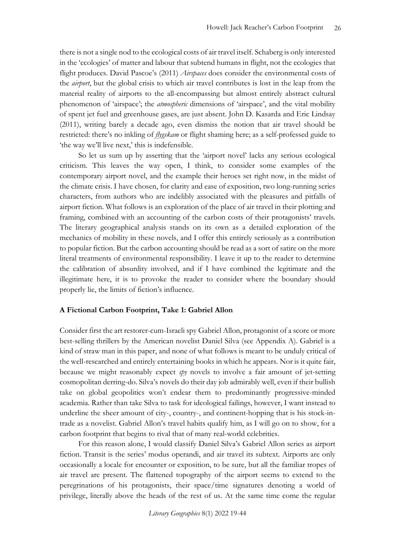there is not a single nod to the ecological costs of air travel itself. Schaberg is only interested in the 'ecologies' of matter and labour that subtend humans in flight, not the ecologies that flight produces. David Pascoe's (2011) *Airspaces* does consider the environmental costs of the *airport*, but the global crisis to which air travel contributes is lost in the leap from the material reality of airports to the all-encompassing but almost entirely abstract cultural phenomenon of 'airspace'; the *atmospheric* dimensions of 'airspace', and the vital mobility of spent jet fuel and greenhouse gases, are just absent. John D. Kasarda and Eric Lindsay (2011), writing barely a decade ago, even dismiss the notion that air travel should be restricted: there's no inkling of *flygskam* or flight shaming here; as a self-professed guide to 'the way we'll live next,' this is indefensible.

So let us sum up by asserting that the 'airport novel' lacks any serious ecological criticism. This leaves the way open, I think, to consider some examples of the contemporary airport novel, and the example their heroes set right now, in the midst of the climate crisis. I have chosen, for clarity and ease of exposition, two long-running series characters, from authors who are indelibly associated with the pleasures and pitfalls of airport fiction. What follows is an exploration of the place of air travel in their plotting and framing, combined with an accounting of the carbon costs of their protagonists' travels. The literary geographical analysis stands on its own as a detailed exploration of the mechanics of mobility in these novels, and I offer this entirely seriously as a contribution to popular fiction. But the carbon accounting should be read as a sort of satire on the more literal treatments of environmental responsibility. I leave it up to the reader to determine the calibration of absurdity involved, and if I have combined the legitimate and the illegitimate here, it is to provoke the reader to consider where the boundary should properly lie, the limits of fiction's influence.

#### **A Fictional Carbon Footprint, Take 1: Gabriel Allon**

Consider first the art restorer-cum-Israeli spy Gabriel Allon, protagonist of a score or more best-selling thrillers by the American novelist Daniel Silva (see Appendix A). Gabriel is a kind of straw man in this paper, and none of what follows is meant to be unduly critical of the well-researched and entirely entertaining books in which he appears. Nor is it quite fair, because we might reasonably expect *spy* novels to involve a fair amount of jet-setting cosmopolitan derring-do. Silva's novels do their day job admirably well, even if their bullish take on global geopolitics won't endear them to predominantly progressive-minded academia. Rather than take Silva to task for ideological failings, however, I want instead to underline the sheer amount of city-, country-, and continent-hopping that is his stock-intrade as a novelist. Gabriel Allon's travel habits qualify him, as I will go on to show, for a carbon footprint that begins to rival that of many real-world celebrities.

For this reason alone, I would classify Daniel Silva's Gabriel Allon series as airport fiction. Transit is the series' modus operandi, and air travel its subtext. Airports are only occasionally a locale for encounter or exposition, to be sure, but all the familiar tropes of air travel are present. The flattened topography of the airport seems to extend to the peregrinations of his protagonists, their space/time signatures denoting a world of privilege, literally above the heads of the rest of us. At the same time come the regular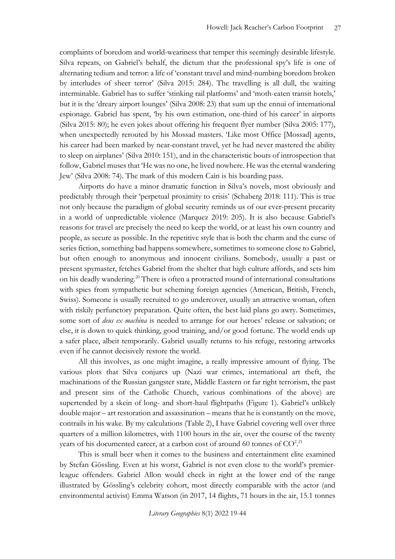complaints of boredom and world-weariness that temper this seemingly desirable lifestyle. Silva repeats, on Gabriel's behalf, the dictum that the professional spy's life is one of alternating tedium and terror: a life of 'constant travel and mind-numbing boredom broken by interludes of sheer terror' (Silva 2015: 284). The travelling is all dull, the waiting interminable. Gabriel has to suffer 'stinking rail platforms' and 'moth-eaten transit hotels,' but it is the 'dreary airport lounges' (Silva 2008: 23) that sum up the ennui of international espionage. Gabriel has spent, 'by his own estimation, one-third of his career' in airports (Silva 2015: 80); he even jokes about offering his frequent flyer number (Silva 2005: 177), when unexpectedly rerouted by his Mossad masters. 'Like most Office [Mossad] agents, his career had been marked by near-constant travel, yet he had never mastered the ability to sleep on airplanes' (Silva 2010: 151), and in the characteristic bouts of introspection that follow, Gabriel muses that 'He was no one, he lived nowhere. He was the eternal wandering Jew' (Silva 2008: 74). The mark of this modern Cain is his boarding pass.

Airports do have a minor dramatic function in Silva's novels, most obviously and predictably through their 'perpetual proximity to crisis' (Schaberg 2018: 111). This is true not only because the paradigm of global security reminds us of our ever-present precarity in a world of unpredictable violence (Marquez 2019: 205). It is also because Gabriel's reasons for travel are precisely the need to keep the world, or at least his own country and people, as secure as possible. In the repetitive style that is both the charm and the curse of series fiction, something bad happens somewhere, sometimes to someone close to Gabriel, but often enough to anonymous and innocent civilians. Somebody, usually a past or present spymaster, fetches Gabriel from the shelter that high culture affords, and sets him on his deadly wandering.<sup>20</sup> There is often a protracted round of international consultations with spies from sympathetic but scheming foreign agencies (American, British, French, Swiss). Someone is usually recruited to go undercover, usually an attractive woman, often with riskily perfunctory preparation. Quite often, the best laid plans go awry. Sometimes, some sort of *deus ex machina* is needed to arrange for our heroes' release or salvation; or else, it is down to quick thinking, good training, and/or good fortune. The world ends up a safer place, albeit temporarily. Gabriel usually returns to his refuge, restoring artworks even if he cannot decisively restore the world.

All this involves, as one might imagine, a really impressive amount of flying. The various plots that Silva conjures up (Nazi war crimes, international art theft, the machinations of the Russian gangster state, Middle Eastern or far right terrorism, the past and present sins of the Catholic Church, various combinations of the above) are supertended by a skein of long- and short-haul flightpaths (Figure 1). Gabriel's unlikely double major – art restoration and assassination – means that he is constantly on the move, contrails in his wake. By my calculations (Table 2), I have Gabriel covering well over three quarters of a million kilometres, with 1100 hours in the air, over the course of the twenty years of his documented career, at a carbon cost of around 60 tonnes of  $\rm CO^{2.21}$ 

This is small beer when it comes to the business and entertainment elite examined by Stefan Gössling. Even at his worst, Gabriel is not even close to the world's premierleague offenders. Gabriel Allon would check in right at the lower end of the range illustrated by Gössling's celebrity cohort, most directly comparable with the actor (and environmental activist) Emma Watson (in 2017, 14 flights, 71 hours in the air, 15.1 tonnes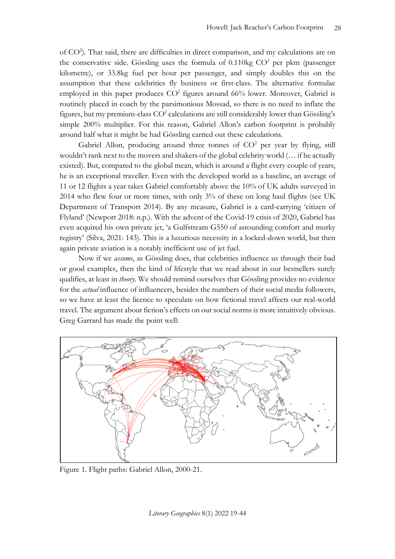of CO<sup>2</sup>). That said, there are difficulties in direct comparison, and my calculations are on the conservative side. Gössling uses the formula of  $0.110\text{kg } CO^2$  per pkm (passenger kilometre), or 33.8kg fuel per hour per passenger, and simply doubles this on the assumption that these celebrities fly business or first-class. The alternative formulae employed in this paper produces  $CO<sup>2</sup>$  figures around 66% lower. Moreover, Gabriel is routinely placed in coach by the parsimonious Mossad, so there is no need to inflate the figures, but my premium-class CO<sup>2</sup> calculations are still considerably lower than Gössling's simple 200% multiplier. For this reason, Gabriel Allon's carbon footprint is probably around half what it might be had Gössling carried out these calculations.

Gabriel Allon, producing around three tonnes of  $CO<sup>2</sup>$  per year by flying, still wouldn't rank next to the movers and shakers of the global celebrity world (… if he actually existed). But, compared to the global mean, which is around a flight every couple of years, he is an exceptional traveller. Even with the developed world as a baseline, an average of 11 or 12 flights a year takes Gabriel comfortably above the 10% of UK adults surveyed in 2014 who flew four or more times, with only 3% of these on long haul flights (see UK Department of Transport 2014). By any measure, Gabriel is a card-carrying 'citizen of Flyland' (Newport 2018: n.p.). With the advent of the Covid-19 crisis of 2020, Gabriel has even acquired his own private jet, 'a Gulfstream G550 of astounding comfort and murky registry' (Silva, 2021: 143). This is a luxurious necessity in a locked-down world, but then again private aviation is a notably inefficient use of jet fuel.

Now if we *assume*, as Gössling does, that celebrities influence us through their bad or good examples, then the kind of lifestyle that we read about in our bestsellers surely qualifies, at least in *theory*. We should remind ourselves that Gössling provides no evidence for the *actual* influence of influencers, besides the numbers of their social media followers, so we have at least the licence to speculate on how fictional travel affects our real-world travel. The argument about fiction's effects on our social norms is more intuitively obvious. Greg Garrard has made the point well:



Figure 1. Flight paths: Gabriel Allon, 2000-21.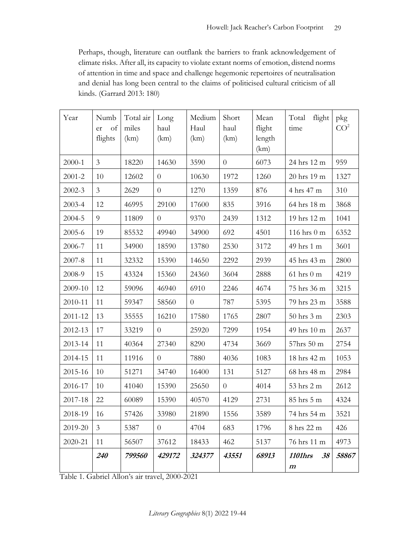Perhaps, though, literature can outflank the barriers to frank acknowledgement of climate risks. After all, its capacity to violate extant norms of emotion, distend norms of attention in time and space and challenge hegemonic repertoires of neutralisation and denial has long been central to the claims of politicised cultural criticism of all kinds. (Garrard 2013: 180)

| Year       | Numb<br>of<br>er<br>flights | Total air<br>miles<br>(km) | Long<br>haul<br>(km) | Medium<br>Haul<br>(km) | Short<br>haul<br>(km) | Mean<br>flight<br>length<br>(km) | Total<br>flight<br>time                  | pkg<br>CO <sup>2</sup> |
|------------|-----------------------------|----------------------------|----------------------|------------------------|-----------------------|----------------------------------|------------------------------------------|------------------------|
| 2000-1     | $\mathfrak{Z}$              | 18220                      | 14630                | 3590                   | $\theta$              | 6073                             | 24 hrs 12 m                              | 959                    |
| $2001 - 2$ | 10                          | 12602                      | $\overline{0}$       | 10630                  | 1972                  | 1260                             | 20 hrs 19 m                              | 1327                   |
| 2002-3     | $\mathfrak{Z}$              | 2629                       | $\theta$             | 1270                   | 1359                  | 876                              | 4 hrs 47 m                               | 310                    |
| 2003-4     | 12                          | 46995                      | 29100                | 17600                  | 835                   | 3916                             | 64 hrs 18 m                              | 3868                   |
| 2004-5     | 9                           | 11809                      | $\theta$             | 9370                   | 2439                  | 1312                             | 19 hrs 12 m                              | 1041                   |
| 2005-6     | 19                          | 85532                      | 49940                | 34900                  | 692                   | 4501                             | 116 hrs 0 m                              | 6352                   |
| 2006-7     | 11                          | 34900                      | 18590                | 13780                  | 2530                  | 3172                             | 49 hrs 1 m                               | 3601                   |
| 2007-8     | 11                          | 32332                      | 15390                | 14650                  | 2292                  | 2939                             | 45 hrs 43 m                              | 2800                   |
| 2008-9     | 15                          | 43324                      | 15360                | 24360                  | 3604                  | 2888                             | $61$ hrs $0$ m                           | 4219                   |
| 2009-10    | 12                          | 59096                      | 46940                | 6910                   | 2246                  | 4674                             | 75 hrs 36 m                              | 3215                   |
| 2010-11    | 11                          | 59347                      | 58560                | $\overline{0}$         | 787                   | 5395                             | 79 hrs 23 m                              | 3588                   |
| 2011-12    | 13                          | 35555                      | 16210                | 17580                  | 1765                  | 2807                             | 50 hrs 3 m                               | 2303                   |
| 2012-13    | 17                          | 33219                      | $\theta$             | 25920                  | 7299                  | 1954                             | 49 hrs 10 m                              | 2637                   |
| 2013-14    | 11                          | 40364                      | 27340                | 8290                   | 4734                  | 3669                             | 57hrs 50 m                               | 2754                   |
| 2014-15    | 11                          | 11916                      | $\theta$             | 7880                   | 4036                  | 1083                             | 18 hrs 42 m                              | 1053                   |
| 2015-16    | 10                          | 51271                      | 34740                | 16400                  | 131                   | 5127                             | 68 hrs 48 m                              | 2984                   |
| 2016-17    | 10                          | 41040                      | 15390                | 25650                  | $\theta$              | 4014                             | 53 hrs 2 m                               | 2612                   |
| 2017-18    | 22                          | 60089                      | 15390                | 40570                  | 4129                  | 2731                             | 85 hrs 5 m                               | 4324                   |
| 2018-19    | 16                          | 57426                      | 33980                | 21890                  | 1556                  | 3589                             | 74 hrs 54 m                              | 3521                   |
| 2019-20    | $\mathfrak{Z}$              | 5387                       | $\theta$             | 4704                   | 683                   | 1796                             | 8 hrs 22 m                               | 426                    |
| 2020-21    | 11                          | 56507                      | 37612                | 18433                  | 462                   | 5137                             | 76 hrs 11 m                              | 4973                   |
|            | 240                         | 799560                     | 429172               | 324377                 | 43551                 | 68913                            | <b>1101hrs</b><br>38<br>$\boldsymbol{m}$ | 58867                  |

Table 1. Gabriel Allon's air travel, 2000-2021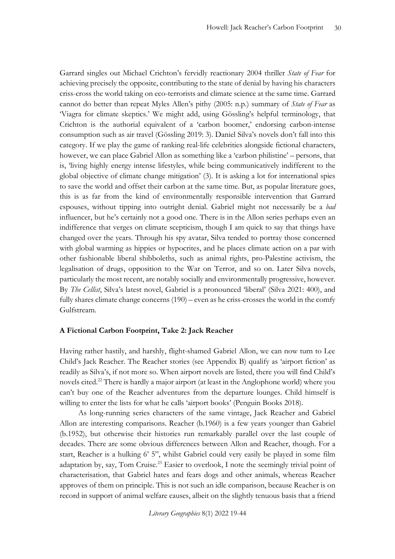Garrard singles out Michael Crichton's fervidly reactionary 2004 thriller *State of Fear* for achieving precisely the opposite, contributing to the state of denial by having his characters criss-cross the world taking on eco-terrorists and climate science at the same time. Garrard cannot do better than repeat Myles Allen's pithy (2005: n.p.) summary of *State of Fear* as 'Viagra for climate skeptics.' We might add, using Gössling's helpful terminology, that Crichton is the authorial equivalent of a 'carbon boomer,' endorsing carbon-intense consumption such as air travel (Gössling 2019: 3). Daniel Silva's novels don't fall into this category. If we play the game of ranking real-life celebrities alongside fictional characters, however, we can place Gabriel Allon as something like a 'carbon philistine' – persons, that is, 'living highly energy intense lifestyles, while being communicatively indifferent to the global objective of climate change mitigation' (3). It is asking a lot for international spies to save the world and offset their carbon at the same time. But, as popular literature goes, this is as far from the kind of environmentally responsible intervention that Garrard espouses, without tipping into outright denial. Gabriel might not necessarily be a *bad* influencer, but he's certainly not a good one. There is in the Allon series perhaps even an indifference that verges on climate scepticism, though I am quick to say that things have changed over the years. Through his spy avatar, Silva tended to portray those concerned with global warming as hippies or hypocrites, and he places climate action on a par with other fashionable liberal shibboleths, such as animal rights, pro-Palestine activism, the legalisation of drugs, opposition to the War on Terror, and so on. Later Silva novels, particularly the most recent, are notably socially and environmentally progressive, however. By *The Cellist*, Silva's latest novel, Gabriel is a pronounced 'liberal' (Silva 2021: 400), and fully shares climate change concerns (190) – even as he criss-crosses the world in the comfy Gulfstream.

#### **A Fictional Carbon Footprint, Take 2: Jack Reacher**

Having rather hastily, and harshly, flight-shamed Gabriel Allon, we can now turn to Lee Child's Jack Reacher. The Reacher stories (see Appendix B) qualify as 'airport fiction' as readily as Silva's, if not more so. When airport novels are listed, there you will find Child's novels cited.<sup>22</sup> There is hardly a major airport (at least in the Anglophone world) where you can't buy one of the Reacher adventures from the departure lounges. Child himself is willing to enter the lists for what he calls 'airport books' (Penguin Books 2018).

As long-running series characters of the same vintage, Jack Reacher and Gabriel Allon are interesting comparisons. Reacher (b.1960) is a few years younger than Gabriel (b.1952), but otherwise their histories run remarkably parallel over the last couple of decades. There are some obvious differences between Allon and Reacher, though. For a start, Reacher is a hulking 6' 5", whilst Gabriel could very easily be played in some film adaptation by, say, Tom Cruise.<sup>23</sup> Easier to overlook, I note the seemingly trivial point of characterisation, that Gabriel hates and fears dogs and other animals, whereas Reacher approves of them on principle. This is not such an idle comparison, because Reacher is on record in support of animal welfare causes, albeit on the slightly tenuous basis that a friend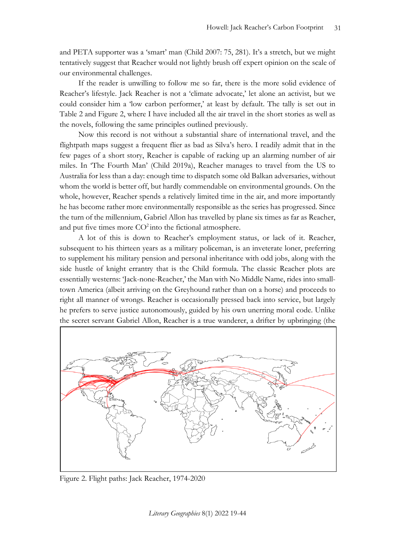and PETA supporter was a 'smart' man (Child 2007: 75, 281). It's a stretch, but we might tentatively suggest that Reacher would not lightly brush off expert opinion on the scale of our environmental challenges.

If the reader is unwilling to follow me so far, there is the more solid evidence of Reacher's lifestyle. Jack Reacher is not a 'climate advocate,' let alone an activist, but we could consider him a 'low carbon performer,' at least by default. The tally is set out in Table 2 and Figure 2, where I have included all the air travel in the short stories as well as the novels, following the same principles outlined previously.

Now this record is not without a substantial share of international travel, and the flightpath maps suggest a frequent flier as bad as Silva's hero. I readily admit that in the few pages of a short story, Reacher is capable of racking up an alarming number of air miles. In 'The Fourth Man' (Child 2019a), Reacher manages to travel from the US to Australia for less than a day: enough time to dispatch some old Balkan adversaries, without whom the world is better off, but hardly commendable on environmental grounds. On the whole, however, Reacher spends a relatively limited time in the air, and more importantly he has become rather more environmentally responsible as the series has progressed. Since the turn of the millennium, Gabriel Allon has travelled by plane six times as far as Reacher, and put five times more  $CO^2$  into the fictional atmosphere.

A lot of this is down to Reacher's employment status, or lack of it. Reacher, subsequent to his thirteen years as a military policeman, is an inveterate loner, preferring to supplement his military pension and personal inheritance with odd jobs, along with the side hustle of knight errantry that is the Child formula. The classic Reacher plots are essentially westerns: 'Jack-none-Reacher,' the Man with No Middle Name, rides into smalltown America (albeit arriving on the Greyhound rather than on a horse) and proceeds to right all manner of wrongs. Reacher is occasionally pressed back into service, but largely he prefers to serve justice autonomously, guided by his own unerring moral code. Unlike the secret servant Gabriel Allon, Reacher is a true wanderer, a drifter by upbringing (the



Figure 2. Flight paths: Jack Reacher, 1974-2020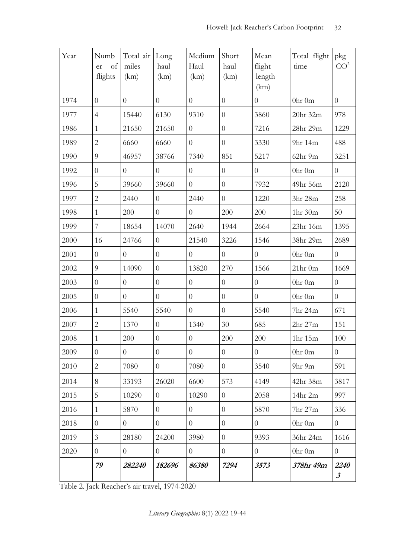| Year | Numb<br>of<br>er<br>flights | Total air<br>miles<br>(km) | Long<br>haul<br>(km) | Medium<br>Haul<br>(km) | Short<br>haul<br>(km) | Mean<br>flight<br>length<br>(km) | Total flight<br>time           | pkg<br>CO <sup>2</sup>       |
|------|-----------------------------|----------------------------|----------------------|------------------------|-----------------------|----------------------------------|--------------------------------|------------------------------|
| 1974 | $\overline{0}$              | $\overline{0}$             | $\overline{0}$       | $\overline{0}$         | $\overline{0}$        | $\overline{0}$                   | 0hr 0m                         | $\overline{0}$               |
| 1977 | $\overline{4}$              | 15440                      | 6130                 | 9310                   | $\overline{0}$        | 3860                             | 20hr 32m                       | 978                          |
| 1986 | $\mathbf{1}$                | 21650                      | 21650                | $\overline{0}$         | $\overline{0}$        | 7216                             | 28hr 29m                       | 1229                         |
| 1989 | $\overline{2}$              | 6660                       | 6660                 | $\overline{0}$         | $\overline{0}$        | 3330                             | 9hr 14m                        | 488                          |
| 1990 | 9                           | 46957                      | 38766                | 7340                   | 851                   | 5217                             | 62hr 9m                        | 3251                         |
| 1992 | $\overline{0}$              | $\theta$                   | $\overline{0}$       | $\overline{0}$         | $\overline{0}$        | $\overline{0}$                   | 0 <sup>hr</sup> 0 <sup>m</sup> | $\overline{0}$               |
| 1996 | 5                           | 39660                      | 39660                | $\overline{0}$         | $\overline{0}$        | 7932                             | 49hr 56m                       | 2120                         |
| 1997 | $\overline{2}$              | 2440                       | $\overline{0}$       | 2440                   | $\overline{0}$        | 1220                             | 3hr 28m                        | 258                          |
| 1998 | $\mathbf{1}$                | 200                        | $\theta$             | $\overline{0}$         | 200                   | 200                              | 1hr 30m                        | 50                           |
| 1999 | 7                           | 18654                      | 14070                | 2640                   | 1944                  | 2664                             | 23hr 16m                       | 1395                         |
| 2000 | 16                          | 24766                      | $\overline{0}$       | 21540                  | 3226                  | 1546                             | 38hr 29m                       | 2689                         |
| 2001 | $\overline{0}$              | $\theta$                   | $\overline{0}$       | $\overline{0}$         | $\overline{0}$        | $\overline{0}$                   | 0hr 0m                         | $\overline{0}$               |
| 2002 | 9                           | 14090                      | $\theta$             | 13820                  | 270                   | 1566                             | $21hr$ 0m                      | 1669                         |
| 2003 | $\overline{0}$              | $\theta$                   | $\overline{0}$       | $\overline{0}$         | $\overline{0}$        | $\overline{0}$                   | 0hr 0m                         | $\overline{0}$               |
| 2005 | $\overline{0}$              | $\overline{0}$             | $\overline{0}$       | $\overline{0}$         | $\overline{0}$        | $\overline{0}$                   | 0hr 0m                         | $\overline{0}$               |
| 2006 | $\mathbf{1}$                | 5540                       | 5540                 | $\overline{0}$         | $\overline{0}$        | 5540                             | 7hr 24m                        | 671                          |
| 2007 | $\overline{2}$              | 1370                       | $\theta$             | 1340                   | 30                    | 685                              | 2hr 27m                        | 151                          |
| 2008 | $\mathbf{1}$                | 200                        | $\theta$             | $\overline{0}$         | 200                   | 200                              | 1hr 15m                        | 100                          |
| 2009 | $\overline{0}$              | $\overline{0}$             | $\theta$             | $\overline{0}$         | $\overline{0}$        | $\overline{0}$                   | 0hr 0m                         | $\overline{0}$               |
| 2010 | $\overline{2}$              | 7080                       | $\overline{0}$       | 7080                   | $\overline{0}$        | 3540                             | 9hr 9m                         | 591                          |
| 2014 | 8                           | 33193                      | 26020                | 6600                   | 573                   | 4149                             | 42hr 38m                       | 3817                         |
| 2015 | 5                           | 10290                      | $\overline{0}$       | 10290                  | $\overline{0}$        | 2058                             | 14hr 2m                        | 997                          |
| 2016 | $\mathbf{1}$                | 5870                       | $\theta$             | $\overline{0}$         | $\overline{0}$        | 5870                             | 7hr 27m                        | 336                          |
| 2018 | $\overline{0}$              | $\overline{0}$             | $\overline{0}$       | $\overline{0}$         | $\overline{0}$        | $\overline{0}$                   | 0hr 0m                         | $\overline{0}$               |
| 2019 | 3                           | 28180                      | 24200                | 3980                   | $\overline{0}$        | 9393                             | 36hr 24m                       | 1616                         |
| 2020 | $\overline{0}$              | $\overline{0}$             | $\overline{0}$       | $\overline{0}$         | $\overline{0}$        | $\overline{0}$                   | 0hr 0m                         | $\overline{0}$               |
|      | 79                          | 282240                     | 182696               | 86380                  | 7294                  | 3573                             | 378hr 49m                      | 2240<br>$\boldsymbol{\beta}$ |

Table 2. Jack Reacher's air travel, 1974-2020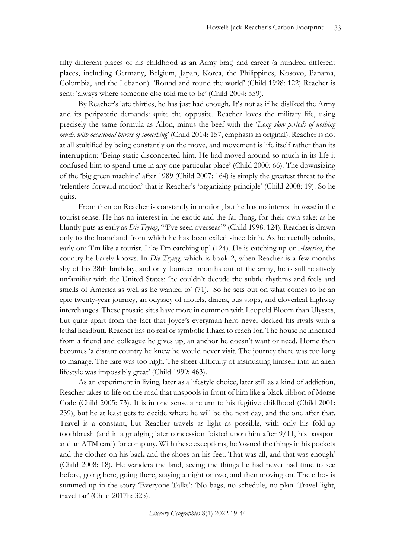fifty different places of his childhood as an Army brat) and career (a hundred different places, including Germany, Belgium, Japan, Korea, the Philippines, Kosovo, Panama, Colombia, and the Lebanon). 'Round and round the world' (Child 1998: 122) Reacher is sent: 'always where someone else told me to be' (Child 2004: 559).

By Reacher's late thirties, he has just had enough. It's not as if he disliked the Army and its peripatetic demands: quite the opposite. Reacher loves the military life, using precisely the same formula as Allon, minus the beef with the '*Long slow periods of nothing much, with occasional bursts of something*' (Child 2014: 157, emphasis in original). Reacher is not at all stultified by being constantly on the move, and movement is life itself rather than its interruption: 'Being static disconcerted him. He had moved around so much in its life it confused him to spend time in any one particular place' (Child 2000: 66). The downsizing of the 'big green machine' after 1989 (Child 2007: 164) is simply the greatest threat to the 'relentless forward motion' that is Reacher's 'organizing principle' (Child 2008: 19). So he quits.

From then on Reacher is constantly in motion, but he has no interest in *travel* in the tourist sense. He has no interest in the exotic and the far-flung, for their own sake: as he bluntly puts as early as *Die Trying*, '"I've seen overseas"' (Child 1998: 124). Reacher is drawn only to the homeland from which he has been exiled since birth. As he ruefully admits, early on: 'I'm like a tourist. Like I'm catching up' (124). He is catching up on *America*, the country he barely knows. In *Die Trying*, which is book 2, when Reacher is a few months shy of his 38th birthday, and only fourteen months out of the army, he is still relatively unfamiliar with the United States: 'he couldn't decode the subtle rhythms and feels and smells of America as well as he wanted to' (71). So he sets out on what comes to be an epic twenty-year journey, an odyssey of motels, diners, bus stops, and cloverleaf highway interchanges. These prosaic sites have more in common with Leopold Bloom than Ulysses, but quite apart from the fact that Joyce's everyman hero never decked his rivals with a lethal headbutt, Reacher has no real or symbolic Ithaca to reach for. The house he inherited from a friend and colleague he gives up, an anchor he doesn't want or need. Home then becomes 'a distant country he knew he would never visit. The journey there was too long to manage. The fare was too high. The sheer difficulty of insinuating himself into an alien lifestyle was impossibly great' (Child 1999: 463).

As an experiment in living, later as a lifestyle choice, later still as a kind of addiction, Reacher takes to life on the road that unspools in front of him like a black ribbon of Morse Code (Child 2005: 73). It is in one sense a return to his fugitive childhood (Child 2001: 239), but he at least gets to decide where he will be the next day, and the one after that. Travel is a constant, but Reacher travels as light as possible, with only his fold-up toothbrush (and in a grudging later concession foisted upon him after 9/11, his passport and an ATM card) for company. With these exceptions, he 'owned the things in his pockets and the clothes on his back and the shoes on his feet. That was all, and that was enough' (Child 2008: 18). He wanders the land, seeing the things he had never had time to see before, going here, going there, staying a night or two, and then moving on. The ethos is summed up in the story 'Everyone Talks': 'No bags, no schedule, no plan. Travel light, travel far' (Child 2017h: 325).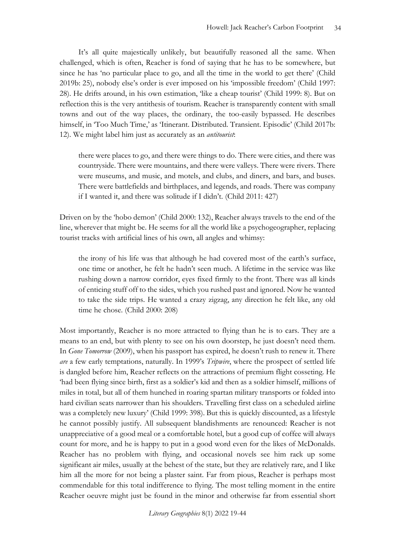It's all quite majestically unlikely, but beautifully reasoned all the same. When challenged, which is often, Reacher is fond of saying that he has to be somewhere, but since he has 'no particular place to go, and all the time in the world to get there' (Child 2019b: 25), nobody else's order is ever imposed on his 'impossible freedom' (Child 1997: 28). He drifts around, in his own estimation, 'like a cheap tourist' (Child 1999: 8). But on reflection this is the very antithesis of tourism. Reacher is transparently content with small towns and out of the way places, the ordinary, the too-easily bypassed. He describes himself, in 'Too Much Time,' as 'Itinerant. Distributed. Transient. Episodic' (Child 2017b: 12). We might label him just as accurately as an *antitourist*:

there were places to go, and there were things to do. There were cities, and there was countryside. There were mountains, and there were valleys. There were rivers. There were museums, and music, and motels, and clubs, and diners, and bars, and buses. There were battlefields and birthplaces, and legends, and roads. There was company if I wanted it, and there was solitude if I didn't. (Child 2011: 427)

Driven on by the 'hobo demon' (Child 2000: 132), Reacher always travels to the end of the line, wherever that might be. He seems for all the world like a psychogeographer, replacing tourist tracks with artificial lines of his own, all angles and whimsy:

the irony of his life was that although he had covered most of the earth's surface, one time or another, he felt he hadn't seen much. A lifetime in the service was like rushing down a narrow corridor, eyes fixed firmly to the front. There was all kinds of enticing stuff off to the sides, which you rushed past and ignored. Now he wanted to take the side trips. He wanted a crazy zigzag, any direction he felt like, any old time he chose. (Child 2000: 208)

Most importantly, Reacher is no more attracted to flying than he is to cars. They are a means to an end, but with plenty to see on his own doorstep, he just doesn't need them. In *Gone Tomorrow* (2009), when his passport has expired, he doesn't rush to renew it. There *are* a few early temptations, naturally. In 1999's *Tripwire*, where the prospect of settled life is dangled before him, Reacher reflects on the attractions of premium flight cosseting. He 'had been flying since birth, first as a soldier's kid and then as a soldier himself, millions of miles in total, but all of them hunched in roaring spartan military transports or folded into hard civilian seats narrower than his shoulders. Travelling first class on a scheduled airline was a completely new luxury' (Child 1999: 398). But this is quickly discounted, as a lifestyle he cannot possibly justify. All subsequent blandishments are renounced: Reacher is not unappreciative of a good meal or a comfortable hotel, but a good cup of coffee will always count for more, and he is happy to put in a good word even for the likes of McDonalds. Reacher has no problem with flying, and occasional novels see him rack up some significant air miles, usually at the behest of the state, but they are relatively rare, and I like him all the more for not being a plaster saint. Far from pious, Reacher is perhaps most commendable for this total indifference to flying. The most telling moment in the entire Reacher oeuvre might just be found in the minor and otherwise far from essential short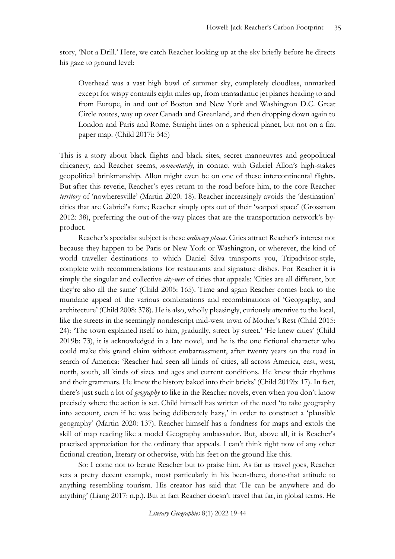story, 'Not a Drill.' Here, we catch Reacher looking up at the sky briefly before he directs his gaze to ground level:

Overhead was a vast high bowl of summer sky, completely cloudless, unmarked except for wispy contrails eight miles up, from transatlantic jet planes heading to and from Europe, in and out of Boston and New York and Washington D.C. Great Circle routes, way up over Canada and Greenland, and then dropping down again to London and Paris and Rome. Straight lines on a spherical planet, but not on a flat paper map. (Child 2017i: 345)

This is a story about black flights and black sites, secret manoeuvres and geopolitical chicanery, and Reacher seems, *momentarily*, in contact with Gabriel Allon's high-stakes geopolitical brinkmanship. Allon might even be on one of these intercontinental flights. But after this reverie, Reacher's eyes return to the road before him, to the core Reacher *territory* of 'nowheresville' (Martin 2020: 18). Reacher increasingly avoids the 'destination' cities that are Gabriel's forte; Reacher simply opts out of their 'warped space' (Grossman 2012: 38), preferring the out-of-the-way places that are the transportation network's byproduct.

Reacher's specialist subject is these *ordinary places*. Cities attract Reacher's interest not because they happen to be Paris or New York or Washington, or wherever, the kind of world traveller destinations to which Daniel Silva transports you, Tripadvisor-style, complete with recommendations for restaurants and signature dishes. For Reacher it is simply the singular and collective *city-ness* of cities that appeals: 'Cities are all different, but they're also all the same' (Child 2005: 165). Time and again Reacher comes back to the mundane appeal of the various combinations and recombinations of 'Geography, and architecture' (Child 2008: 378). He is also, wholly pleasingly, curiously attentive to the local, like the streets in the seemingly nondescript mid-west town of Mother's Rest (Child 2015: 24): 'The town explained itself to him, gradually, street by street.' 'He knew cities' (Child 2019b: 73), it is acknowledged in a late novel, and he is the one fictional character who could make this grand claim without embarrassment, after twenty years on the road in search of America: 'Reacher had seen all kinds of cities, all across America, east, west, north, south, all kinds of sizes and ages and current conditions. He knew their rhythms and their grammars. He knew the history baked into their bricks' (Child 2019b: 17). In fact, there's just such a lot of *geography* to like in the Reacher novels, even when you don't know precisely where the action is set. Child himself has written of the need 'to take geography into account, even if he was being deliberately hazy,' in order to construct a 'plausible geography' (Martin 2020: 137). Reacher himself has a fondness for maps and extols the skill of map reading like a model Geography ambassador. But, above all, it is Reacher's practised appreciation for the ordinary that appeals. I can't think right now of any other fictional creation, literary or otherwise, with his feet on the ground like this.

So: I come not to berate Reacher but to praise him. As far as travel goes, Reacher sets a pretty decent example, most particularly in his been-there, done-that attitude to anything resembling tourism. His creator has said that 'He can be anywhere and do anything' (Liang 2017: n.p.). But in fact Reacher doesn't travel that far, in global terms. He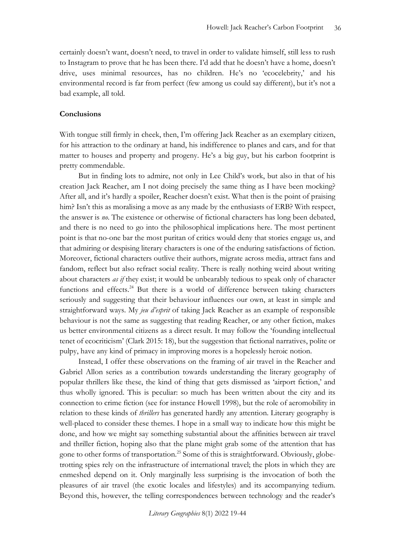certainly doesn't want, doesn't need, to travel in order to validate himself, still less to rush to Instagram to prove that he has been there. I'd add that he doesn't have a home, doesn't drive, uses minimal resources, has no children. He's no 'ecocelebrity,' and his environmental record is far from perfect (few among us could say different), but it's not a bad example, all told.

#### **Conclusions**

With tongue still firmly in cheek, then, I'm offering Jack Reacher as an exemplary citizen, for his attraction to the ordinary at hand, his indifference to planes and cars, and for that matter to houses and property and progeny. He's a big guy, but his carbon footprint is pretty commendable.

But in finding lots to admire, not only in Lee Child's work, but also in that of his creation Jack Reacher, am I not doing precisely the same thing as I have been mocking? After all, and it's hardly a spoiler, Reacher doesn't exist. What then is the point of praising him? Isn't this as moralising a move as any made by the enthusiasts of ERB? With respect, the answer is *no*. The existence or otherwise of fictional characters has long been debated, and there is no need to go into the philosophical implications here. The most pertinent point is that no-one bar the most puritan of critics would deny that stories engage us, and that admiring or despising literary characters is one of the enduring satisfactions of fiction. Moreover, fictional characters outlive their authors, migrate across media, attract fans and fandom, reflect but also refract social reality. There is really nothing weird about writing about characters *as if* they exist; it would be unbearably tedious to speak only of character functions and effects.<sup>24</sup> But there is a world of difference between taking characters seriously and suggesting that their behaviour influences our own, at least in simple and straightforward ways. My *jeu d'esprit* of taking Jack Reacher as an example of responsible behaviour is not the same as suggesting that reading Reacher, or any other fiction, makes us better environmental citizens as a direct result. It may follow the 'founding intellectual tenet of ecocriticism' (Clark 2015: 18), but the suggestion that fictional narratives, polite or pulpy, have any kind of primacy in improving mores is a hopelessly heroic notion.

Instead, I offer these observations on the framing of air travel in the Reacher and Gabriel Allon series as a contribution towards understanding the literary geography of popular thrillers like these, the kind of thing that gets dismissed as 'airport fiction,' and thus wholly ignored. This is peculiar: so much has been written about the city and its connection to crime fiction (see for instance Howell 1998), but the role of aeromobility in relation to these kinds of *thrillers* has generated hardly any attention. Literary geography is well-placed to consider these themes. I hope in a small way to indicate how this might be done, and how we might say something substantial about the affinities between air travel and thriller fiction, hoping also that the plane might grab some of the attention that has gone to other forms of transportation.<sup>25</sup> Some of this is straightforward. Obviously, globetrotting spies rely on the infrastructure of international travel; the plots in which they are enmeshed depend on it. Only marginally less surprising is the invocation of both the pleasures of air travel (the exotic locales and lifestyles) and its accompanying tedium. Beyond this, however, the telling correspondences between technology and the reader's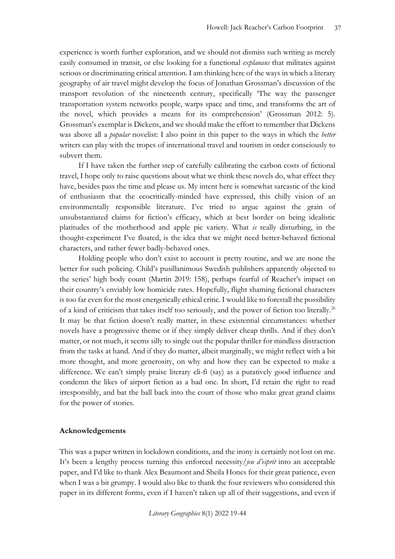experience is worth further exploration, and we should not dismiss such writing as merely easily consumed in transit, or else looking for a functional *explanans* that militates against serious or discriminating critical attention. I am thinking here of the ways in which a literary geography of air travel might develop the focus of Jonathan Grossman's discussion of the transport revolution of the nineteenth century, specifically 'The way the passenger transportation system networks people, warps space and time, and transforms the art of the novel, which provides a means for its comprehension' (Grossman 2012: 5). Grossman's exemplar is Dickens, and we should make the effort to remember that Dickens was above all a *popular* novelist: I also point in this paper to the ways in which the *better* writers can play with the tropes of international travel and tourism in order consciously to subvert them.

If I have taken the further step of carefully calibrating the carbon costs of fictional travel, I hope only to raise questions about what we think these novels do, what effect they have, besides pass the time and please us. My intent here is somewhat sarcastic of the kind of enthusiasm that the ecocritically-minded have expressed, this chilly vision of an environmentally responsible literature. I've tried to argue against the grain of unsubstantiated claims for fiction's efficacy, which at best border on being idealistic platitudes of the motherhood and apple pie variety. What *is* really disturbing, in the thought-experiment I've floated, is the idea that we might need better-behaved fictional characters, and rather fewer badly-behaved ones.

Holding people who don't exist to account is pretty routine, and we are none the better for such policing. Child's pusillanimous Swedish publishers apparently objected to the series' high body count (Martin 2019: 158), perhaps fearful of Reacher's impact on their country's enviably low homicide rates. Hopefully, flight shaming fictional characters is too far even for the most energetically ethical critic. I would like to forestall the possibility of a kind of criticism that takes itself too seriously, and the power of fiction too literally.<sup>26</sup> It may be that fiction doesn't really matter, in these existential circumstances: whether novels have a progressive theme or if they simply deliver cheap thrills. And if they don't matter, or not much, it seems silly to single out the popular thriller for mindless distraction from the tasks at hand. And if they do matter, albeit marginally, we might reflect with a bit more thought, and more generosity, on why and how they can be expected to make a difference. We can't simply praise literary cli-fi (say) as a putatively good influence and condemn the likes of airport fiction as a bad one. In short, I'd retain the right to read irresponsibly, and bat the ball back into the court of those who make great grand claims for the power of stories.

#### **Acknowledgements**

This was a paper written in lockdown conditions, and the irony is certainly not lost on me. It's been a lengthy process turning this enforced necessity/*jeu d'esprit* into an acceptable paper, and I'd like to thank Alex Beaumont and Sheila Hones for their great patience, even when I was a bit grumpy. I would also like to thank the four reviewers who considered this paper in its different forms, even if I haven't taken up all of their suggestions, and even if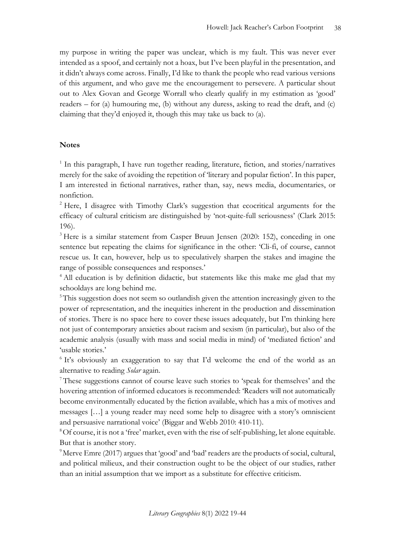my purpose in writing the paper was unclear, which is my fault. This was never ever intended as a spoof, and certainly not a hoax, but I've been playful in the presentation, and it didn't always come across. Finally, I'd like to thank the people who read various versions of this argument, and who gave me the encouragement to persevere. A particular shout out to Alex Govan and George Worrall who clearly qualify in my estimation as 'good' readers – for (a) humouring me, (b) without any duress, asking to read the draft, and (c) claiming that they'd enjoyed it, though this may take us back to (a).

#### **Notes**

<sup>1</sup> In this paragraph, I have run together reading, literature, fiction, and stories/narratives merely for the sake of avoiding the repetition of 'literary and popular fiction'. In this paper, I am interested in fictional narratives, rather than, say, news media, documentaries, or nonfiction.

<sup>2</sup> Here, I disagree with Timothy Clark's suggestion that ecocritical arguments for the efficacy of cultural criticism are distinguished by 'not-quite-full seriousness' (Clark 2015: 196).

<sup>3</sup> Here is a similar statement from Casper Bruun Jensen (2020: 152), conceding in one sentence but repeating the claims for significance in the other: 'Cli-fi, of course, cannot rescue us. It can, however, help us to speculatively sharpen the stakes and imagine the range of possible consequences and responses.'

<sup>4</sup> All education is by definition didactic, but statements like this make me glad that my schooldays are long behind me.

<sup>5</sup>This suggestion does not seem so outlandish given the attention increasingly given to the power of representation, and the inequities inherent in the production and dissemination of stories. There is no space here to cover these issues adequately, but I'm thinking here not just of contemporary anxieties about racism and sexism (in particular), but also of the academic analysis (usually with mass and social media in mind) of 'mediated fiction' and 'usable stories.'

<sup>6</sup> It's obviously an exaggeration to say that I'd welcome the end of the world as an alternative to reading *Solar* again.

<sup>7</sup> These suggestions cannot of course leave such stories to 'speak for themselves' and the hovering attention of informed educators is recommended: 'Readers will not automatically become environmentally educated by the fiction available, which has a mix of motives and messages […] a young reader may need some help to disagree with a story's omniscient and persuasive narrational voice' (Biggar and Webb 2010: 410-11).

<sup>8</sup>Of course, it is not a 'free' market, even with the rise of self-publishing, let alone equitable. But that is another story.

<sup>9</sup>Merve Emre (2017) argues that 'good' and 'bad' readers are the products of social, cultural, and political milieux, and their construction ought to be the object of our studies, rather than an initial assumption that we import as a substitute for effective criticism.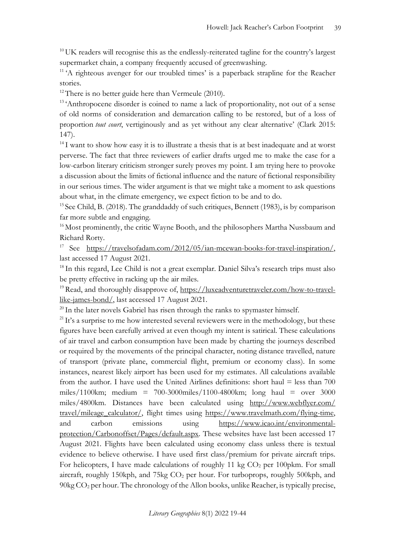$10$  UK readers will recognise this as the endlessly-reiterated tagline for the country's largest supermarket chain, a company frequently accused of greenwashing.

<sup>11</sup> 'A righteous avenger for our troubled times' is a paperback strapline for the Reacher stories.

 $12$ There is no better guide here than Vermeule (2010).

<sup>13</sup> 'Anthropocene disorder is coined to name a lack of proportionality, not out of a sense of old norms of consideration and demarcation calling to be restored, but of a loss of proportion *tout court*, vertiginously and as yet without any clear alternative' (Clark 2015: 147).

 $14$  I want to show how easy it is to illustrate a thesis that is at best inadequate and at worst perverse. The fact that three reviewers of earlier drafts urged me to make the case for a low-carbon literary criticism stronger surely proves my point. I am trying here to provoke a discussion about the limits of fictional influence and the nature of fictional responsibility in our serious times. The wider argument is that we might take a moment to ask questions about what, in the climate emergency, we expect fiction to be and to do.

<sup>15</sup> See Child, B. (2018). The granddaddy of such critiques, Bennett (1983), is by comparison far more subtle and engaging.

<sup>16</sup> Most prominently, the critic Wayne Booth, and the philosophers Martha Nussbaum and Richard Rorty.

<sup>17</sup> See [https://travelsofadam.com/2012/05/ian-mcewan-books-for-travel-inspiration/,](https://travelsofadam.com/2012/05/ian-mcewan-books-for-travel-inspiration/) last accessed 17 August 2021.

<sup>18</sup> In this regard, Lee Child is not a great exemplar. Daniel Silva's research trips must also be pretty effective in racking up the air miles.

<sup>19</sup> Read, and thoroughly disapprove of, [https://luxeadventuretraveler.com/how-to-travel](https://luxeadventuretraveler.com/how-to-travel-like-james-bond/)[like-james-bond/,](https://luxeadventuretraveler.com/how-to-travel-like-james-bond/) last accessed 17 August 2021.

<sup>20</sup> In the later novels Gabriel has risen through the ranks to spymaster himself.

<sup>21</sup>It's a surprise to me how interested several reviewers were in the methodology, but these figures have been carefully arrived at even though my intent is satirical. These calculations of air travel and carbon consumption have been made by charting the journeys described or required by the movements of the principal character, noting distance travelled, nature of transport (private plane, commercial flight, premium or economy class). In some instances, nearest likely airport has been used for my estimates. All calculations available from the author. I have used the United Airlines definitions: short haul = less than 700 miles/1100km; medium = 700-3000miles/1100-4800km; long haul = over 3000 miles/4800km. Distances have been calculated usin[g](http://www.webflyer.com/travel/mileage_calculator/getmileage.php?) [http://www.webflyer.com/](http://www.webflyer.com/%20travel/mileage_calculator/) [travel/mileage\\_calculator/,](http://www.webflyer.com/%20travel/mileage_calculator/) flight times using [https://www.travelmath.com/flying-time,](https://www.travelmath.com/flying-time) and carbon emissions using [https://www.icao.int/environmental](https://www.icao.int/environmental-protection/Carbonoffset/Pages/default.aspx)[protection/Carbonoffset/Pages/default.aspx.](https://www.icao.int/environmental-protection/Carbonoffset/Pages/default.aspx) These websites have last been accessed 17 August 2021. Flights have been calculated using economy class unless there is textual evidence to believe otherwise. I have used first class/premium for private aircraft trips. For helicopters, I have made calculations of roughly 11 kg  $CO<sub>2</sub>$  per 100pkm. For small aircraft, roughly 150kph, and 75kg CO<sub>2</sub> per hour. For turboprops, roughly 500kph, and  $90\text{kg CO}_2$  per hour. The chronology of the Allon books, unlike Reacher, is typically precise,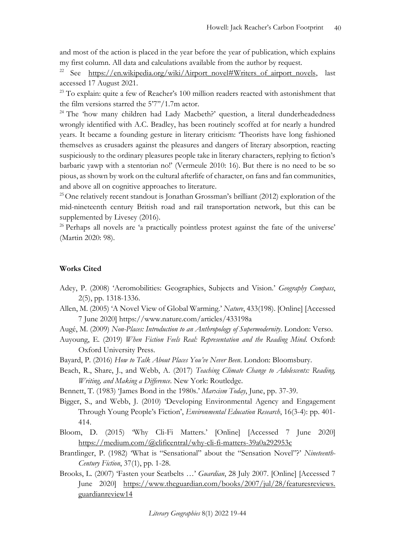and most of the action is placed in the year before the year of publication, which explains my first column. All data and calculations available from the author by request.

<sup>22</sup> See [https://en.wikipedia.org/wiki/Airport\\_novel#Writers\\_of\\_airport\\_novels,](https://en.wikipedia.org/wiki/Airport_novel#Writers_of_airport_novels) last accessed 17 August 2021.

<sup>23</sup> To explain: quite a few of Reacher's 100 million readers reacted with astonishment that the film versions starred the 5'7''/1.7m actor.

<sup>24</sup> The 'how many children had Lady Macbeth?' question, a literal dunderheadedness wrongly identified with A.C. Bradley, has been routinely scoffed at for nearly a hundred years. It became a founding gesture in literary criticism: 'Theorists have long fashioned themselves as crusaders against the pleasures and dangers of literary absorption, reacting suspiciously to the ordinary pleasures people take in literary characters, replying to fiction's barbaric yawp with a stentorian no!' (Vermeule 2010: 16). But there is no need to be so pious, as shown by work on the cultural afterlife of character, on fans and fan communities, and above all on cognitive approaches to literature.

 $25$  One relatively recent standout is Jonathan Grossman's brilliant (2012) exploration of the mid-nineteenth century British road and rail transportation network, but this can be supplemented by Livesey (2016).

<sup>26</sup> Perhaps all novels are 'a practically pointless protest against the fate of the universe' (Martin 2020: 98).

#### **Works Cited**

- Adey, P. (2008) 'Aeromobilities: Geographies, Subjects and Vision.' *Geography Compass*, 2(5), pp. 1318-1336.
- Allen, M. (2005) 'A Novel View of Global Warming.' *Nature*, 433(198). [Online] [Accessed 7 June 2020] https://www.nature.com/articles/433198a
- Augé, M. (2009) *Non-Places: Introduction to an Anthropology of Supermodernity*. London: Verso.
- Auyoung, E. (2019) *When Fiction Feels Real: Representation and the Reading Mind*. Oxford: Oxford University Press.
- Bayard, P. (2016) *How to Talk About Places You've Never Been*. London: Bloomsbury.
- Beach, R., Share, J., and Webb, A. (2017) *Teaching Climate Change to Adolescents: Reading, Writing, and Making a Difference*. New York: Routledge.
- Bennett, T. (1983) 'James Bond in the 1980s.' *Marxism Today*, June, pp. 37-39.
- Bigger, S., and Webb, J. (2010) 'Developing Environmental Agency and Engagement Through Young People's Fiction', *Environmental Education Research*, 16(3-4): pp. 401- 414.
- Bloom, D. (2015) 'Why Cli-Fi Matters.' [Online] [Accessed 7 June 2020] <https://medium.com/@clificentral/why-cli-fi-matters-39a0a292953c>
- Brantlinger, P. (1982) 'What is "Sensational" about the "Sensation Novel"?' *Nineteenth-Century Fiction*, 37(1), pp. 1-28.
- Brooks, L. (2007) 'Fasten your Seatbelts …' *Guardian*, 28 July 2007. [Online] [Accessed 7 June 2020] [https://www.theguardian.com/books/2007/jul/28/featuresreviews.](https://www.theguardian.com/books/2007/jul/28/featuresreviews) guardianreview14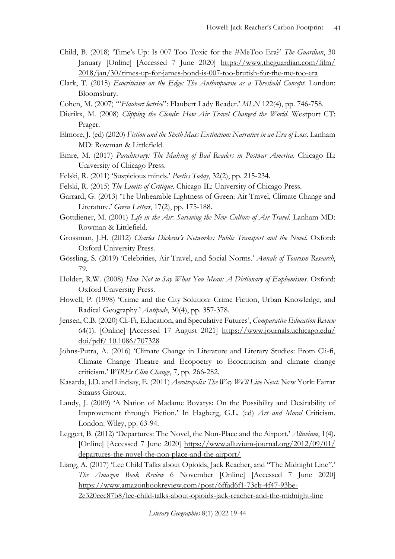- Child, B. (2018) 'Time's Up: Is 007 Too Toxic for the #MeToo Era?' *The Guardian*, 30 January [Online] [Accessed 7 June 2020] <https://www.theguardian.com/film/> 2018/jan/30/times-up-for-james-bond-is-007-too-brutish-for-the-me-too-era
- Clark, T. (2015) *Ecocriticism on the Edge: The Anthropocene as a Threshold Concept*. London: Bloomsbury.
- Cohen, M. (2007) '"*Flaubert lectrice*": Flaubert Lady Reader.' *MLN* 122(4), pp. 746-758.
- Dierikx, M. (2008) *Clipping the Clouds: How Air Travel Changed the World*. Westport CT: Prager.
- Elmore, J. (ed) (2020) *Fiction and the Sixth Mass Extinction: Narrative in an Era of Loss*. Lanham MD: Rowman & Littlefield.
- Emre, M. (2017) *Paraliterary: The Making of Bad Readers in Postwar America*. Chicago IL: University of Chicago Press.
- Felski, R. (2011) 'Suspicious minds.' *Poetics Today*, 32(2), pp. 215-234.
- Felski, R. (2015) *The Limits of Critique*. Chicago IL: University of Chicago Press.
- Garrard, G. (2013) 'The Unbearable Lightness of Green: Air Travel, Climate Change and Literature.' *Green Letters*, 17(2), pp. 175-188.
- Gottdiener, M. (2001) *Life in the Air: Surviving the New Culture of Air Travel*. Lanham MD: Rowman & Littlefield.
- Grossman, J.H. (2012) *Charles Dickens's Networks: Public Transport and the Novel*. Oxford: Oxford University Press.
- Gössling, S. (2019) 'Celebrities, Air Travel, and Social Norms.' *Annals of Tourism Research*, 79.
- Holder, R.W. (2008) *How Not to Say What You Mean: A Dictionary of Euphemisms*. Oxford: Oxford University Press.
- Howell, P. (1998) 'Crime and the City Solution: Crime Fiction, Urban Knowledge, and Radical Geography.' *Antipode*, 30(4), pp. 357-378.
- Jensen, C.B. (2020) Cli-Fi, Education, and Speculative Futures', *Comparative Education Review* 64(1). [Online] [Accessed 17 August 2021] [https://www.journals.uchicago.edu/](https://www.journals.uchicago.edu/%20doi/pdf/%2010.1086/707328) doi/pdf/ [10.1086/707328](https://www.journals.uchicago.edu/%20doi/pdf/%2010.1086/707328)
- Johns-Putra, A. (2016) 'Climate Change in Literature and Literary Studies: From Cli-fi, Climate Change Theatre and Ecopoetry to Ecocriticism and climate change criticism.' *WIREs Clim Change*, 7, pp. 266-282.
- Kasarda, J.D. and Lindsay, E. (2011) *Aerotropolis: The Way We'll Live Next*. New York: Farrar Strauss Giroux.
- Landy, J. (2009) 'A Nation of Madame Bovarys: On the Possibility and Desirability of Improvement through Fiction.' In Hagberg, G.L. (ed) *Art and Moral* Criticism. London: Wiley, pp. 63-94.
- Leggett, B. (2012) 'Departures: The Novel, the Non-Place and the Airport.' *Alluvium*, 1(4). [Online] [Accessed 7 June 2020] <https://www.alluvium-journal.org/2012/09/01/> departures-the-novel-the-non-place-and-the-airport/
- Liang, A. (2017) 'Lee Child Talks about Opioids, Jack Reacher, and "The Midnight Line".' *The Amazon Book Review* 6 November [Online] [Accessed 7 June 2020] [https://www.amazonbookreview.com/post/6ffad6f1-73cb-4f47-93be-](https://www.amazonbookreview.com/post/6ffad6f1-73cb-4f47-93be-2e320eec87b8/lee-child-talks-about-opioids-jack-reacher-and-the-midnight-line)[2e320eec87b8/lee-child-talks-about-opioids-jack-reacher-and-the-midnight-line](https://www.amazonbookreview.com/post/6ffad6f1-73cb-4f47-93be-2e320eec87b8/lee-child-talks-about-opioids-jack-reacher-and-the-midnight-line)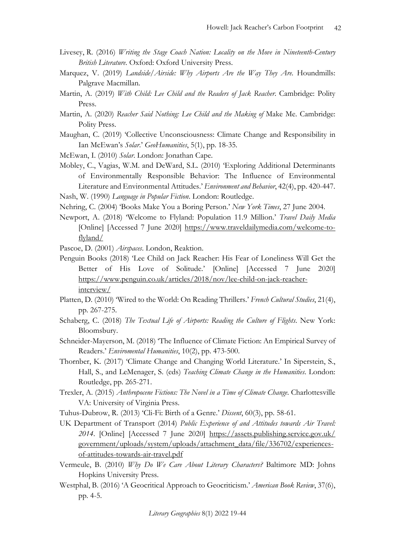- Livesey, R. (2016) *Writing the Stage Coach Nation: Locality on the Move in Nineteenth-Century British Literature*. Oxford: Oxford University Press.
- Marquez, V. (2019) *Landside/Airside: Why Airports Are the Way They Are*. Houndmills: Palgrave Macmillan.
- Martin, A. (2019) *With Child: Lee Child and the Readers of Jack Reacher*. Cambridge: Polity Press.
- Martin, A. (2020) *Reacher Said Nothing: Lee Child and the Making of* Make Me. Cambridge: Polity Press.
- Maughan, C. (2019) 'Collective Unconsciousness: Climate Change and Responsibility in Ian McEwan's *Solar*.' *GeoHumanities*, 5(1), pp. 18-35.
- McEwan, I. (2010) *Solar*. London: Jonathan Cape.
- Mobley, C., Vagias, W.M. and DeWard, S.L. (2010) 'Exploring Additional Determinants of Environmentally Responsible Behavior: The Influence of Environmental Literature and Environmental Attitudes.' *Environment and Behavior*, 42(4), pp. 420-447.

Nash, W. (1990) *Language in Popular Fiction*. London: Routledge.

- Nehring, C. (2004) 'Books Make You a Boring Person.' *New York Times*, 27 June 2004.
- Newport, A. (2018) 'Welcome to Flyland: Population 11.9 Million.' *Travel Daily Media* [Online] [Accessed 7 June 2020] https://www.traveldailymedia.com/welcome-toflyland/

Pascoe, D. (2001) *Airspaces*. London, Reaktion.

- Penguin Books (2018) 'Lee Child on Jack Reacher: His Fear of Loneliness Will Get the Better of His Love of Solitude.' [Online] [Accessed 7 June 2020] https://www.penguin.co.uk/articles/2018/nov/lee-child-on-jack-reacherinterview/
- Platten, D. (2010) 'Wired to the World: On Reading Thrillers.' *French Cultural Studies*, 21(4), pp. 267-275.
- Schaberg, C. (2018) *The Textual Life of Airports: Reading the Culture of Flights*. New York: Bloomsbury.
- Schneider-Mayerson, M. (2018) 'The Influence of Climate Fiction: An Empirical Survey of Readers.' *Enviromental Humanities*, 10(2), pp. 473-500.
- Thornber, K. (2017) 'Climate Change and Changing World Literature.' In Siperstein, S., Hall, S., and LeMenager, S. (eds) *Teaching Climate Change in the Humanities*. London: Routledge, pp. 265-271.
- Trexler, A. (2015) *Anthropocene Fictions: The Novel in a Time of Climate Change*. Charlottesville VA: University of Virginia Press.
- Tuhus-Dubrow, R. (2013) 'Cli-Fi: Birth of a Genre.' *Dissent*, 60(3), pp. 58-61.

UK Department of Transport (2014) *Public Experience of and Attitudes towards Air Travel: 2014*. [Online] [Accessed 7 June 2020] <https://assets.publishing.service.gov.uk/> government/uploads/system/uploads/attachment\_data/file/336702/experiencesof-attitudes-towards-air-travel.pdf

- Vermeule, B. (2010) *Why Do We Care About Literary Characters?* Baltimore MD: Johns Hopkins University Press.
- Westphal, B. (2016) 'A Geocritical Approach to Geocriticism.' *American Book Review*, 37(6), pp. 4-5.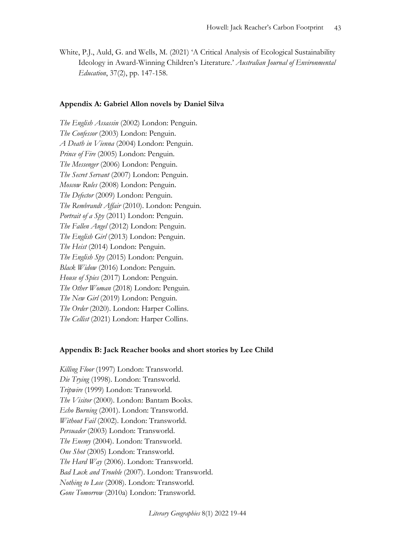White, P.J., Auld, G. and Wells, M. (2021) 'A Critical Analysis of Ecological Sustainability Ideology in Award-Winning Children's Literature.' *Australian Journal of Environmental Education*, 37(2), pp. 147-158.

#### **Appendix A: Gabriel Allon novels by Daniel Silva**

*The English Assassin* (2002) London: Penguin. *The Confessor* (2003) London: Penguin. *A Death in Vienna* (2004) London: Penguin. *Prince of Fire* (2005) London: Penguin. *The Messenger* (2006) London: Penguin. *The Secret Servant* (2007) London: Penguin. *Moscow Rules* (2008) London: Penguin. *The Defector* (2009) London: Penguin. *The Rembrandt Affair* (2010). London: Penguin. *Portrait of a Spy* (2011) London: Penguin. *The Fallen Angel* (2012) London: Penguin. *The English Girl* (2013) London: Penguin. *The Heist* (2014) London: Penguin. *The English Spy* (2015) London: Penguin. *Black Widow* (2016) London: Penguin. *House of Spies* (2017) London: Penguin. *The Other Woman* (2018) London: Penguin. *The New Girl* (2019) London: Penguin. *The Order* (2020). London: Harper Collins. *The Cellist* (2021) London: Harper Collins.

#### **Appendix B: Jack Reacher books and short stories by Lee Child**

*Killing Floor* (1997) London: Transworld. *Die Trying* (1998). London: Transworld. *Tripwire* (1999) London: Transworld. *The Visitor* (2000). London: Bantam Books. *Echo Burning* (2001). London: Transworld. *Without Fail* (2002). London: Transworld. *Persuader* (2003) London: Transworld. *The Enemy* (2004). London: Transworld. *One Shot* (2005) London: Transworld. *The Hard Way* (2006). London: Transworld. *Bad Luck and Trouble* (2007). London: Transworld. *Nothing to Lose* (2008). London: Transworld. *Gone Tomorrow* (2010a) London: Transworld.